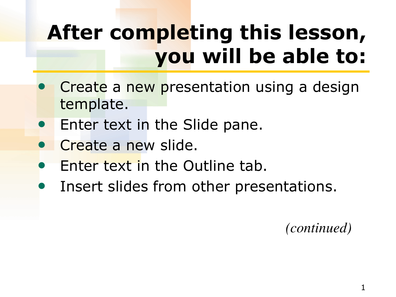# **After completing this lesson, you will be able to:**

- **Create a new presentation using a design** template.
- Enter text in the Slide pane.
- Create a new slide.
- Enter text in the Outline tab.
- Insert slides from other presentations.

 *(continued)*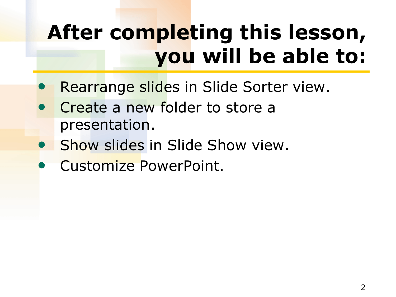# **After completing this lesson, you will be able to:**

- Rearrange slides in Slide Sorter view.
- Create a new folder to store a presentation.
- Show slides in Slide Show view.
- Customize PowerPoint.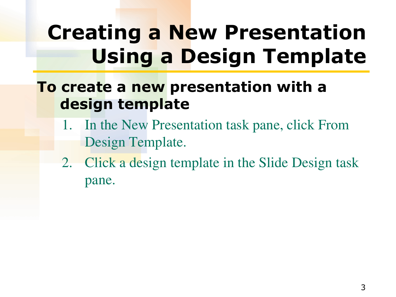# **Creating a New Presentation Using a Design Template**

#### **To create a new presentation with a design template**

- 1. In the New Presentation task pane, click From Design Template.
- 2. Click a design template in the Slide Design task pane.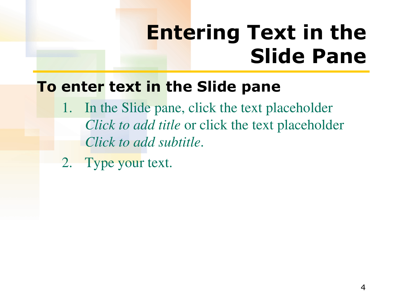### **Entering Text in the Slide Pane**

#### **To enter text in the Slide pane**

- 1. In the Slide pane, click the text placeholder *Click to add title* or click the text placeholder *Click to add subtitle*.
- 2. Type your text.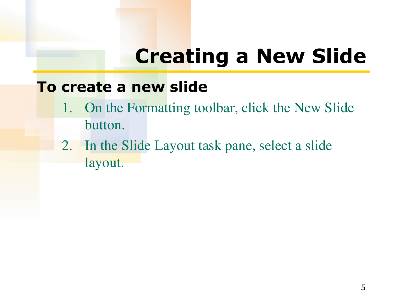## **Creating a New Slide**

#### **To create a new slide**

- 1. On the Formatting toolbar, click the New Slide button.
- 2. In the Slide Layout task pane, select a slide layout.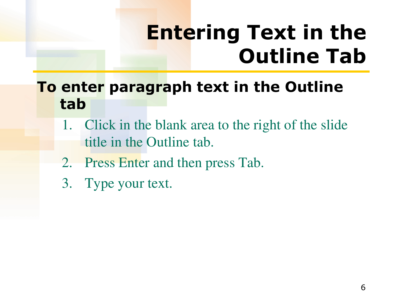## **Entering Text in the Outline Tab**

#### **To enter paragraph text in the Outline tab**

- 1. Click in the blank area to the right of the slide title in the Outline tab.
- 2. Press Enter and then press Tab.
- 3. Type your text.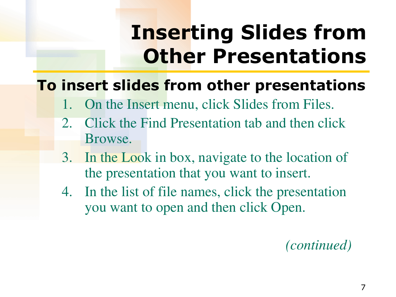### **Inserting Slides from Other Presentations**

#### **To insert slides from other presentations**

- 1. On the Insert menu, click Slides from Files.
- 2. Click the Find Presentation tab and then click Browse.
- 3. In the Look in box, navigate to the location of the presentation that you want to insert.
- 4. In the list of file names, click the presentation you want to open and then click Open.

 *(continued)*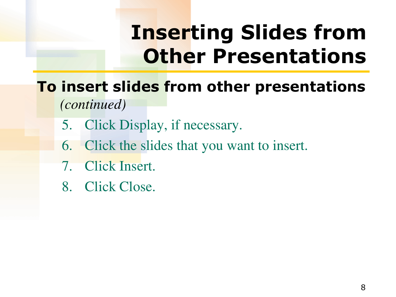### **Inserting Slides from Other Presentations**

#### **To insert slides from other presentations** *(continued)*

- 5. Click Display, if necessary.
- 6. Click the slides that you want to insert.
- 7. Click Insert.
- 8. Click Close.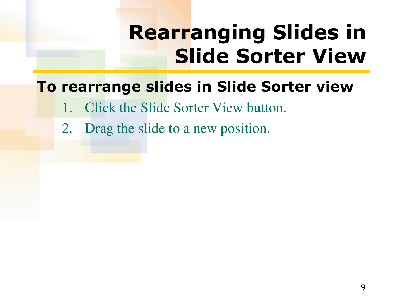# **Rearranging Slides in Slide Sorter View**

#### **To rearrange slides in Slide Sorter view**

- **Click the Slide Sorter View button.**
- 2. Drag the slide to a new position.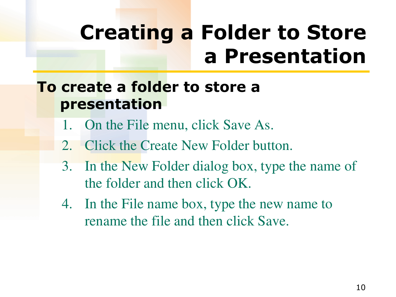### **Creating a Folder to Store a Presentation**

#### **To create a folder to store a presentation**

- 1. On the File menu, click Save As.
- 2. Click the Create New Folder button.
- 3. In the New Folder dialog box, type the name of the folder and then click OK.
- 4. In the File name box, type the new name to rename the file and then click Save.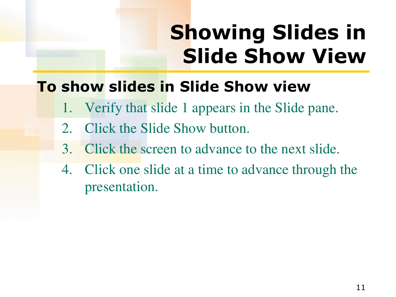# **Showing Slides in Slide Show View**

#### **To show slides in Slide Show view**

- Verify that slide 1 appears in the Slide pane.
- 2. Click the Slide Show button.
- 3. Click the screen to advance to the next slide.
- 4. Click one slide at a time to advance through the presentation.